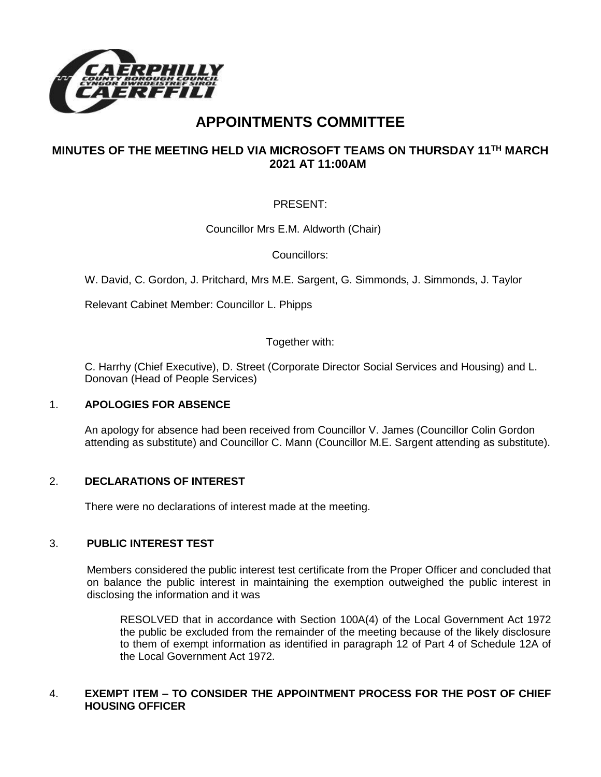

# **APPOINTMENTS COMMITTEE**

## **MINUTES OF THE MEETING HELD VIA MICROSOFT TEAMS ON THURSDAY 11TH MARCH 2021 AT 11:00AM**

### PRESENT:

Councillor Mrs E.M. Aldworth (Chair)

Councillors:

W. David, C. Gordon, J. Pritchard, Mrs M.E. Sargent, G. Simmonds, J. Simmonds, J. Taylor

Relevant Cabinet Member: Councillor L. Phipps

Together with:

C. Harrhy (Chief Executive), D. Street (Corporate Director Social Services and Housing) and L. Donovan (Head of People Services)

#### 1. **APOLOGIES FOR ABSENCE**

An apology for absence had been received from Councillor V. James (Councillor Colin Gordon attending as substitute) and Councillor C. Mann (Councillor M.E. Sargent attending as substitute).

#### 2. **DECLARATIONS OF INTEREST**

There were no declarations of interest made at the meeting.

#### 3. **PUBLIC INTEREST TEST**

Members considered the public interest test certificate from the Proper Officer and concluded that on balance the public interest in maintaining the exemption outweighed the public interest in disclosing the information and it was

RESOLVED that in accordance with Section 100A(4) of the Local Government Act 1972 the public be excluded from the remainder of the meeting because of the likely disclosure to them of exempt information as identified in paragraph 12 of Part 4 of Schedule 12A of the Local Government Act 1972.

#### 4. **EXEMPT ITEM – TO CONSIDER THE APPOINTMENT PROCESS FOR THE POST OF CHIEF HOUSING OFFICER**